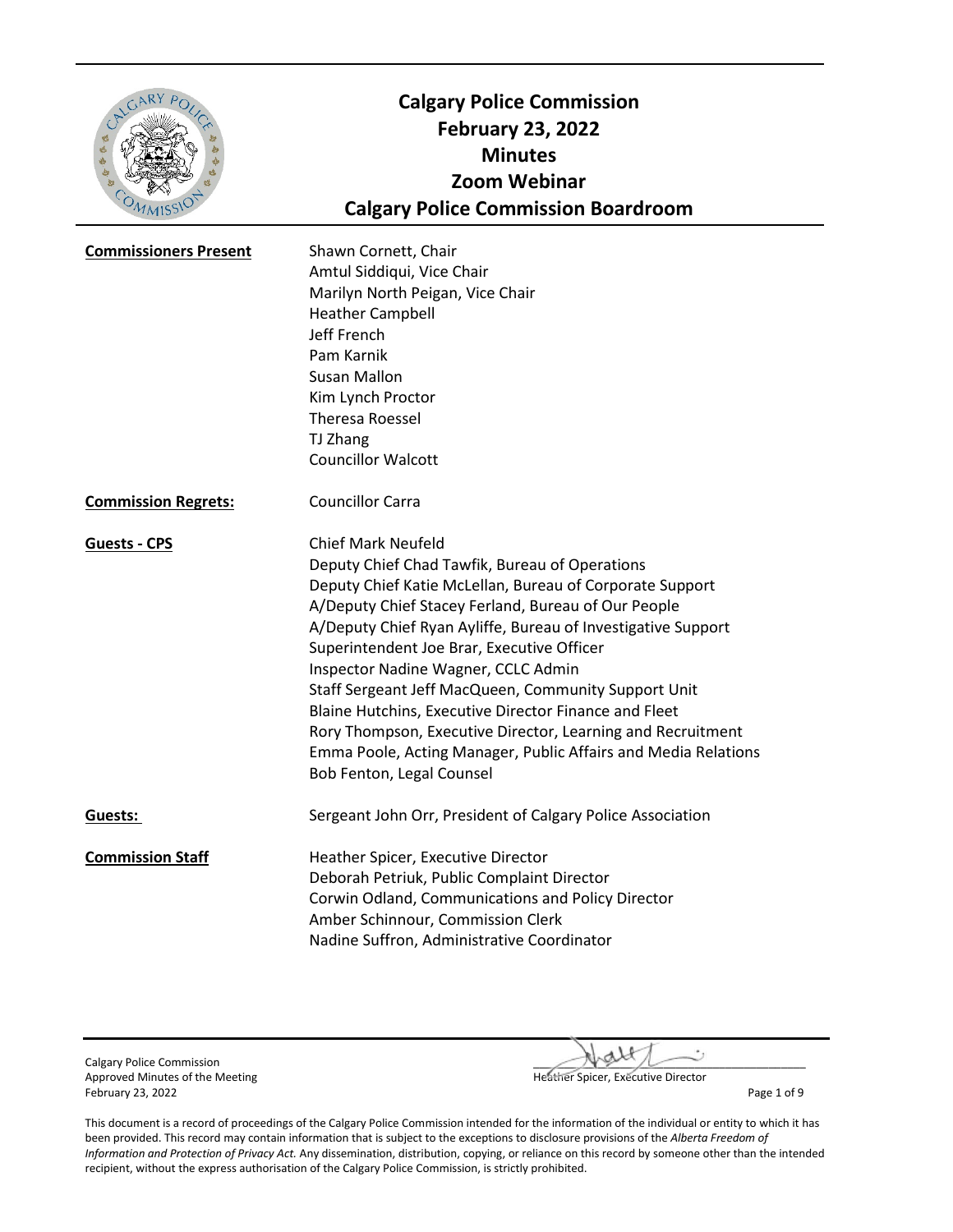| GARY PO<br>3000              | <b>Calgary Police Commission</b><br><b>February 23, 2022</b><br><b>Minutes</b><br><b>Zoom Webinar</b><br><b>Calgary Police Commission Boardroom</b>                                                                                                                                                                                                                                                                                                                                                                                                                                                                                |
|------------------------------|------------------------------------------------------------------------------------------------------------------------------------------------------------------------------------------------------------------------------------------------------------------------------------------------------------------------------------------------------------------------------------------------------------------------------------------------------------------------------------------------------------------------------------------------------------------------------------------------------------------------------------|
| <b>Commissioners Present</b> | Shawn Cornett, Chair<br>Amtul Siddiqui, Vice Chair<br>Marilyn North Peigan, Vice Chair<br><b>Heather Campbell</b><br>Jeff French<br>Pam Karnik<br><b>Susan Mallon</b><br>Kim Lynch Proctor<br><b>Theresa Roessel</b><br>TJ Zhang<br><b>Councillor Walcott</b>                                                                                                                                                                                                                                                                                                                                                                      |
| <b>Commission Regrets:</b>   | <b>Councillor Carra</b>                                                                                                                                                                                                                                                                                                                                                                                                                                                                                                                                                                                                            |
| <b>Guests - CPS</b>          | <b>Chief Mark Neufeld</b><br>Deputy Chief Chad Tawfik, Bureau of Operations<br>Deputy Chief Katie McLellan, Bureau of Corporate Support<br>A/Deputy Chief Stacey Ferland, Bureau of Our People<br>A/Deputy Chief Ryan Ayliffe, Bureau of Investigative Support<br>Superintendent Joe Brar, Executive Officer<br>Inspector Nadine Wagner, CCLC Admin<br>Staff Sergeant Jeff MacQueen, Community Support Unit<br>Blaine Hutchins, Executive Director Finance and Fleet<br>Rory Thompson, Executive Director, Learning and Recruitment<br>Emma Poole, Acting Manager, Public Affairs and Media Relations<br>Bob Fenton, Legal Counsel |
| Guests:                      | Sergeant John Orr, President of Calgary Police Association                                                                                                                                                                                                                                                                                                                                                                                                                                                                                                                                                                         |
| <b>Commission Staff</b>      | Heather Spicer, Executive Director<br>Deborah Petriuk, Public Complaint Director<br>Corwin Odland, Communications and Policy Director<br>Amber Schinnour, Commission Clerk<br>Nadine Suffron, Administrative Coordinator                                                                                                                                                                                                                                                                                                                                                                                                           |

February 23, 2022 Page 1 of 9

Calgary Police Commission<br>
Approved Minutes of the Meeting<br>  $\begin{array}{c}\n\hline\n\text{Hefatter Spicer, Exécutive Director}\n\hline\n\end{array}$ Heather Spicer, Executive Director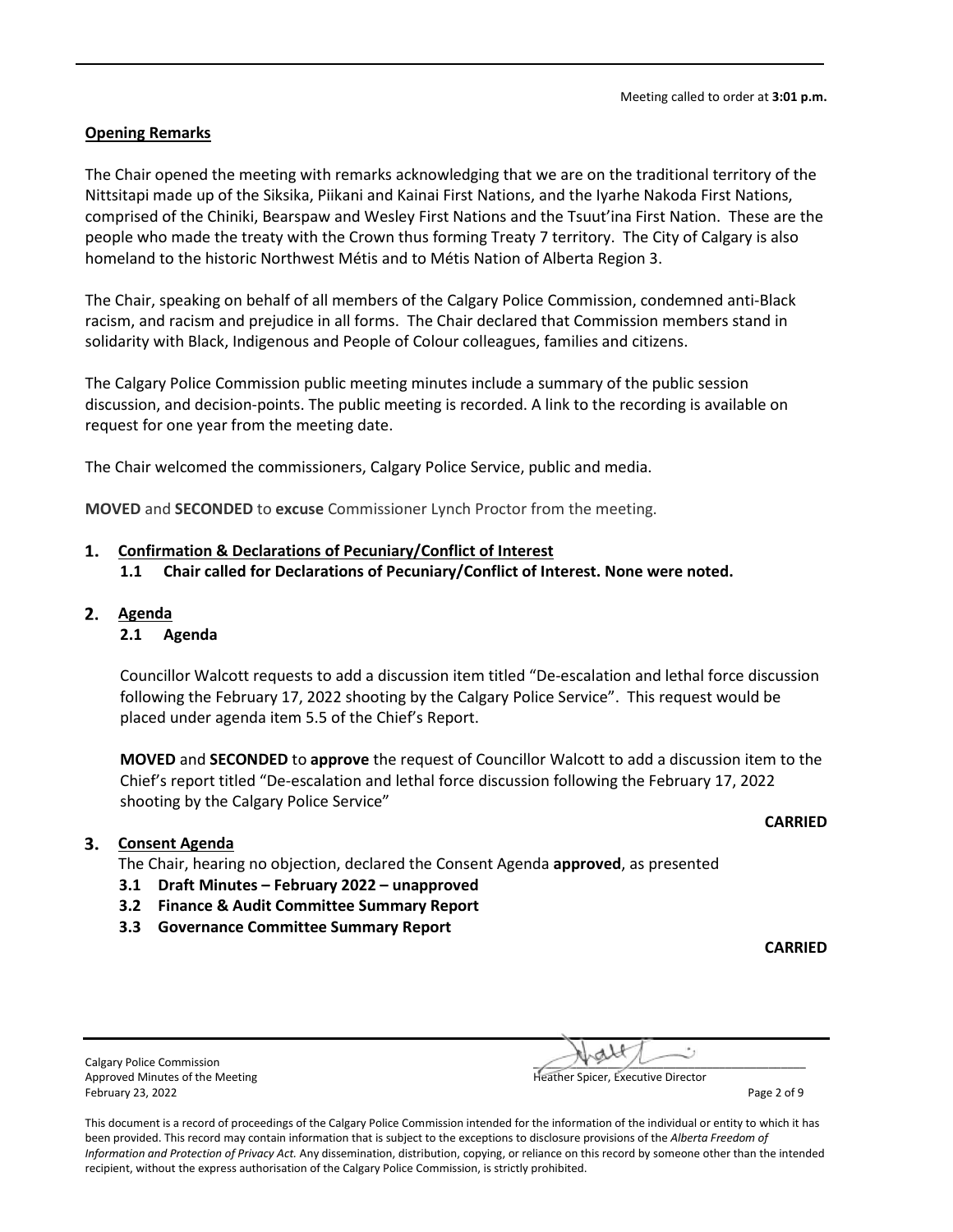### **Opening Remarks**

The Chair opened the meeting with remarks acknowledging that we are on the traditional territory of the Nittsitapi made up of the Siksika, Piikani and Kainai First Nations, and the Iyarhe Nakoda First Nations, comprised of the Chiniki, Bearspaw and Wesley First Nations and the Tsuut'ina First Nation. These are the people who made the treaty with the Crown thus forming Treaty 7 territory. The City of Calgary is also homeland to the historic Northwest Métis and to Métis Nation of Alberta Region 3.

The Chair, speaking on behalf of all members of the Calgary Police Commission, condemned anti-Black racism, and racism and prejudice in all forms. The Chair declared that Commission members stand in solidarity with Black, Indigenous and People of Colour colleagues, families and citizens.

The Calgary Police Commission public meeting minutes include a summary of the public session discussion, and decision-points. The public meeting is recorded. A link to the recording is available on request for one year from the meeting date.

The Chair welcomed the commissioners, Calgary Police Service, public and media.

**MOVED** and **SECONDED** to **excuse** Commissioner Lynch Proctor from the meeting.

### **Confirmation & Declarations of Pecuniary/Conflict of Interest**

- **1.1 Chair called for Declarations of Pecuniary/Conflict of Interest. None were noted.**
- **Agenda**

### **2.1 Agenda**

Councillor Walcott requests to add a discussion item titled "De-escalation and lethal force discussion following the February 17, 2022 shooting by the Calgary Police Service". This request would be placed under agenda item 5.5 of the Chief's Report.

**MOVED** and **SECONDED** to **approve** the request of Councillor Walcott to add a discussion item to the Chief's report titled "De-escalation and lethal force discussion following the February 17, 2022 shooting by the Calgary Police Service"

### **Consent Agenda**

The Chair, hearing no objection, declared the Consent Agenda **approved**, as presented

- **3.1 Draft Minutes February 2022 unapproved**
- **3.2 Finance & Audit Committee Summary Report**
- **3.3 Governance Committee Summary Report**

**CARRIED**

| <b>Calgary Police Commission</b> | $\sim$ $N$ $\sim$ $\sim$           |
|----------------------------------|------------------------------------|
| Approved Minutes of the Meeting  | Heather Spicer, Executive Director |
| February 23, 2022                | Page 2 of 9                        |

Calgary Police Commission **and the commission** and the commission of the commission of the commission of the comm Heather Spicer, Executive Director

This document is a record of proceedings of the Calgary Police Commission intended for the information of the individual or entity to which it has been provided. This record may contain information that is subject to the exceptions to disclosure provisions of the *Alberta Freedom of Information and Protection of Privacy Act.* Any dissemination, distribution, copying, or reliance on this record by someone other than the intended recipient, without the express authorisation of the Calgary Police Commission, is strictly prohibited.

**CARRIED**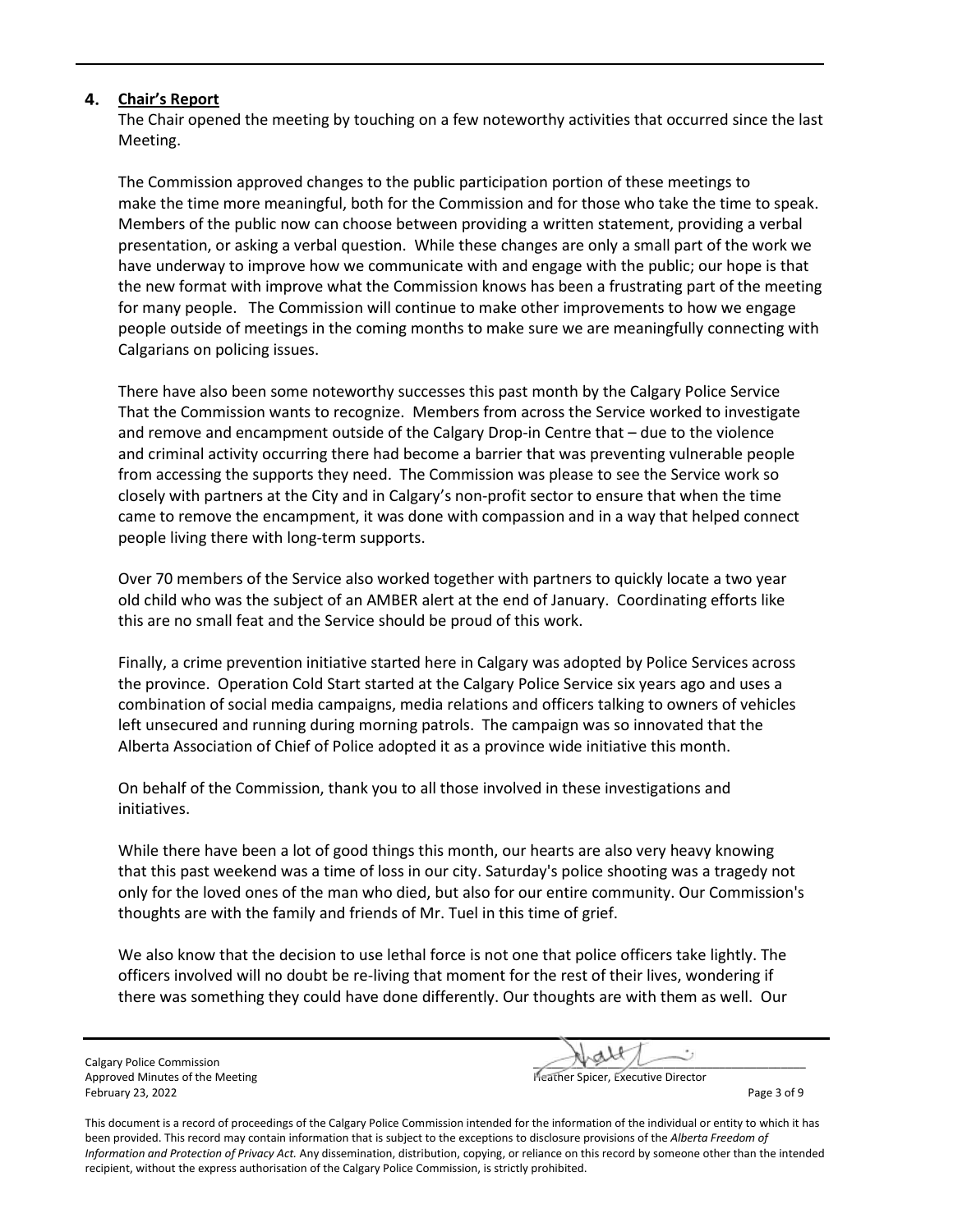### **Chair's Report**

The Chair opened the meeting by touching on a few noteworthy activities that occurred since the last Meeting.

The Commission approved changes to the public participation portion of these meetings to make the time more meaningful, both for the Commission and for those who take the time to speak. Members of the public now can choose between providing a written statement, providing a verbal presentation, or asking a verbal question. While these changes are only a small part of the work we have underway to improve how we communicate with and engage with the public; our hope is that the new format with improve what the Commission knows has been a frustrating part of the meeting for many people. The Commission will continue to make other improvements to how we engage people outside of meetings in the coming months to make sure we are meaningfully connecting with Calgarians on policing issues.

There have also been some noteworthy successes this past month by the Calgary Police Service That the Commission wants to recognize. Members from across the Service worked to investigate and remove and encampment outside of the Calgary Drop-in Centre that – due to the violence and criminal activity occurring there had become a barrier that was preventing vulnerable people from accessing the supports they need. The Commission was please to see the Service work so closely with partners at the City and in Calgary's non-profit sector to ensure that when the time came to remove the encampment, it was done with compassion and in a way that helped connect people living there with long-term supports.

Over 70 members of the Service also worked together with partners to quickly locate a two year old child who was the subject of an AMBER alert at the end of January. Coordinating efforts like this are no small feat and the Service should be proud of this work.

Finally, a crime prevention initiative started here in Calgary was adopted by Police Services across the province. Operation Cold Start started at the Calgary Police Service six years ago and uses a combination of social media campaigns, media relations and officers talking to owners of vehicles left unsecured and running during morning patrols. The campaign was so innovated that the Alberta Association of Chief of Police adopted it as a province wide initiative this month.

On behalf of the Commission, thank you to all those involved in these investigations and initiatives.

While there have been a lot of good things this month, our hearts are also very heavy knowing that this past weekend was a time of loss in our city. Saturday's police shooting was a tragedy not only for the loved ones of the man who died, but also for our entire community. Our Commission's thoughts are with the family and friends of Mr. Tuel in this time of grief.

We also know that the decision to use lethal force is not one that police officers take lightly. The officers involved will no doubt be re-living that moment for the rest of their lives, wondering if there was something they could have done differently. Our thoughts are with them as well. Our

Calgary Police Commission Approved Minutes of the Meeting Heather Spicer, Executive Director Spicer, Executive Director February 23, 2022 Page 3 of 9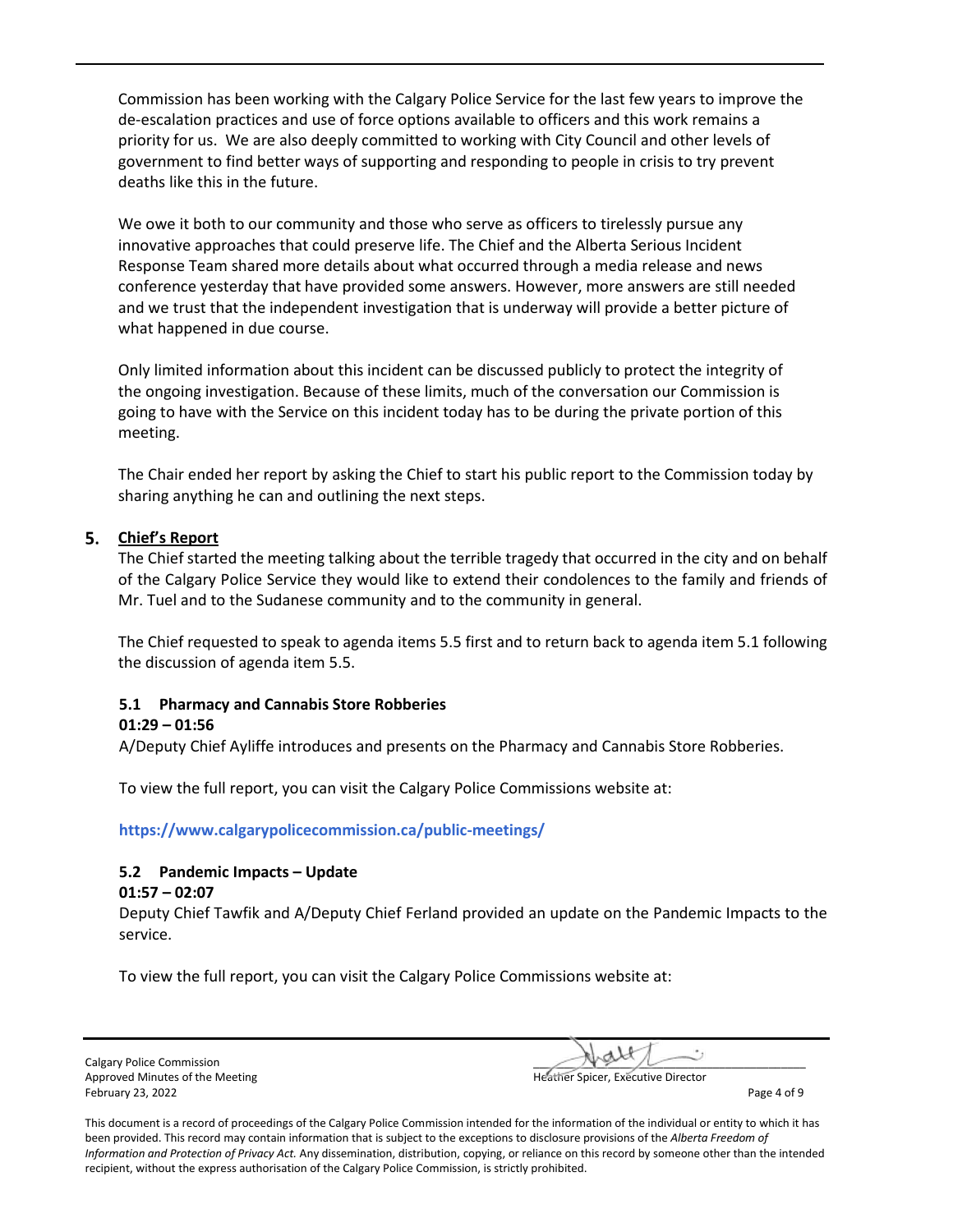Commission has been working with the Calgary Police Service for the last few years to improve the de-escalation practices and use of force options available to officers and this work remains a priority for us. We are also deeply committed to working with City Council and other levels of government to find better ways of supporting and responding to people in crisis to try prevent deaths like this in the future.

We owe it both to our community and those who serve as officers to tirelessly pursue any innovative approaches that could preserve life. The Chief and the Alberta Serious Incident Response Team shared more details about what occurred through a media release and news conference yesterday that have provided some answers. However, more answers are still needed and we trust that the independent investigation that is underway will provide a better picture of what happened in due course.

Only limited information about this incident can be discussed publicly to protect the integrity of the ongoing investigation. Because of these limits, much of the conversation our Commission is going to have with the Service on this incident today has to be during the private portion of this meeting.

The Chair ended her report by asking the Chief to start his public report to the Commission today by sharing anything he can and outlining the next steps.

### **Chief's Report**

The Chief started the meeting talking about the terrible tragedy that occurred in the city and on behalf of the Calgary Police Service they would like to extend their condolences to the family and friends of Mr. Tuel and to the Sudanese community and to the community in general.

The Chief requested to speak to agenda items 5.5 first and to return back to agenda item 5.1 following the discussion of agenda item 5.5.

### **5.1 Pharmacy and Cannabis Store Robberies**

#### **01:29 – 01:56**

A/Deputy Chief Ayliffe introduces and presents on the Pharmacy and Cannabis Store Robberies.

To view the full report, you can visit the Calgary Police Commissions website at:

**<https://www.calgarypolicecommission.ca/public-meetings/>**

### **5.2 Pandemic Impacts – Update**

#### **01:57 – 02:07**

Deputy Chief Tawfik and A/Deputy Chief Ferland provided an update on the Pandemic Impacts to the service.

To view the full report, you can visit the Calgary Police Commissions website at:

Calgary Police Commission Approved Minutes of the Meeting February 23, 2022 **Page 4 of 9** 

| har Coicar, Evacutive Director |  |
|--------------------------------|--|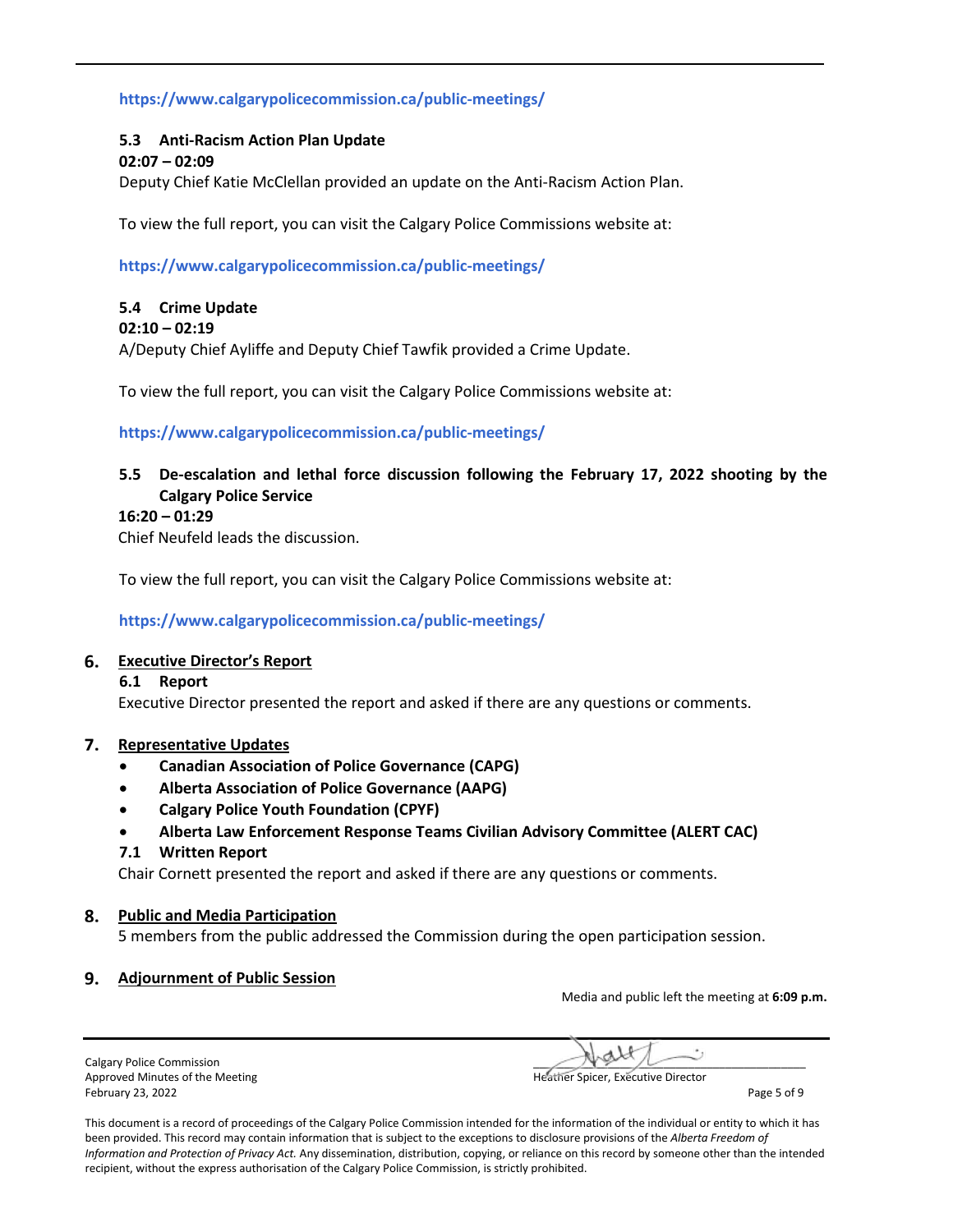## **<https://www.calgarypolicecommission.ca/public-meetings/>**

# **5.3 Anti-Racism Action Plan Update**

### **02:07 – 02:09**

Deputy Chief Katie McClellan provided an update on the Anti-Racism Action Plan.

To view the full report, you can visit the Calgary Police Commissions website at:

**<https://www.calgarypolicecommission.ca/public-meetings/>**

# **5.4 Crime Update**

#### **02:10 – 02:19**

A/Deputy Chief Ayliffe and Deputy Chief Tawfik provided a Crime Update.

To view the full report, you can visit the Calgary Police Commissions website at:

### **<https://www.calgarypolicecommission.ca/public-meetings/>**

# **5.5 De-escalation and lethal force discussion following the February 17, 2022 shooting by the Calgary Police Service**

#### **16:20 – 01:29**

Chief Neufeld leads the discussion.

To view the full report, you can visit the Calgary Police Commissions website at:

**<https://www.calgarypolicecommission.ca/public-meetings/>**

#### **Executive Director's Report**

#### **6.1 Report**

Executive Director presented the report and asked if there are any questions or comments.

#### **Representative Updates**

- **Canadian Association of Police Governance (CAPG)**
- **Alberta Association of Police Governance (AAPG)**
- **Calgary Police Youth Foundation (CPYF)**
- **Alberta Law Enforcement Response Teams Civilian Advisory Committee (ALERT CAC)**

#### **7.1 Written Report**

Chair Cornett presented the report and asked if there are any questions or comments.

#### **Public and Media Participation**

5 members from the public addressed the Commission during the open participation session.

#### **Adjournment of Public Session**

Media and public left the meeting at **6:09 p.m.** 

Calgary Police Commission Approved Minutes of the Meeting **Heather Spicer, Executive Director** Approved Minutes of the Meeting February 23, 2022 **Page 5 of 9**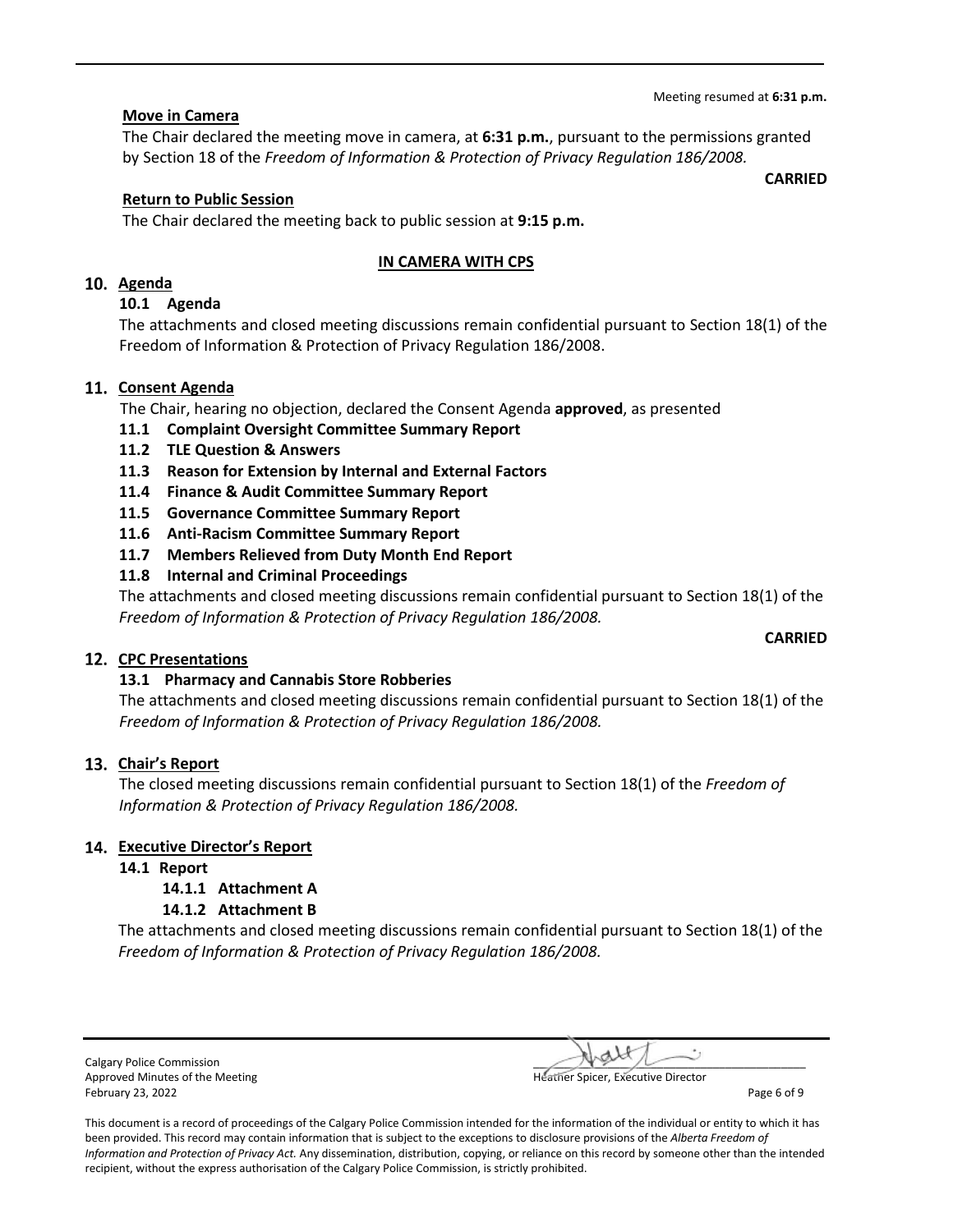#### Meeting resumed at **6:31 p.m.**

### **Move in Camera**

The Chair declared the meeting move in camera, at **6:31 p.m.**, pursuant to the permissions granted by Section 18 of the *Freedom of Information & Protection of Privacy Regulation 186/2008.*

### **Return to Public Session**

The Chair declared the meeting back to public session at **9:15 p.m.**

### **IN CAMERA WITH CPS**

# **Agenda**

### **10.1 Agenda**

The attachments and closed meeting discussions remain confidential pursuant to Section 18(1) of the Freedom of Information & Protection of Privacy Regulation 186/2008.

### 11. Consent Agenda

The Chair, hearing no objection, declared the Consent Agenda **approved**, as presented

- **11.1 Complaint Oversight Committee Summary Report**
- **11.2 TLE Question & Answers**
- **11.3 Reason for Extension by Internal and External Factors**
- **11.4 Finance & Audit Committee Summary Report**
- **11.5 Governance Committee Summary Report**
- **11.6 Anti-Racism Committee Summary Report**
- **11.7 Members Relieved from Duty Month End Report**
- **11.8 Internal and Criminal Proceedings**

The attachments and closed meeting discussions remain confidential pursuant to Section 18(1) of the *Freedom of Information & Protection of Privacy Regulation 186/2008.*

#### **CPC Presentations**

### **13.1 Pharmacy and Cannabis Store Robberies**

The attachments and closed meeting discussions remain confidential pursuant to Section 18(1) of the *Freedom of Information & Protection of Privacy Regulation 186/2008.*

#### **Chair's Report**

The closed meeting discussions remain confidential pursuant to Section 18(1) of the *Freedom of Information & Protection of Privacy Regulation 186/2008.*

### **Executive Director's Report**

### **14.1 Report**

# **14.1.1 Attachment A**

#### **14.1.2 Attachment B**

The attachments and closed meeting discussions remain confidential pursuant to Section 18(1) of the *Freedom of Information & Protection of Privacy Regulation 186/2008.*

Calgary Police Commission and the Meeting and the Commission and the Commission of the Commission and the Commission and the Commission of the Meeting and the Commission and the Commission and the Commission of the Meeting Approved Minutes of the Meeting February 23, 2022 **Page 6 of 9** 

This document is a record of proceedings of the Calgary Police Commission intended for the information of the individual or entity to which it has been provided. This record may contain information that is subject to the exceptions to disclosure provisions of the *Alberta Freedom of Information and Protection of Privacy Act.* Any dissemination, distribution, copying, or reliance on this record by someone other than the intended recipient, without the express authorisation of the Calgary Police Commission, is strictly prohibited.

**CARRIED**

**CARRIED**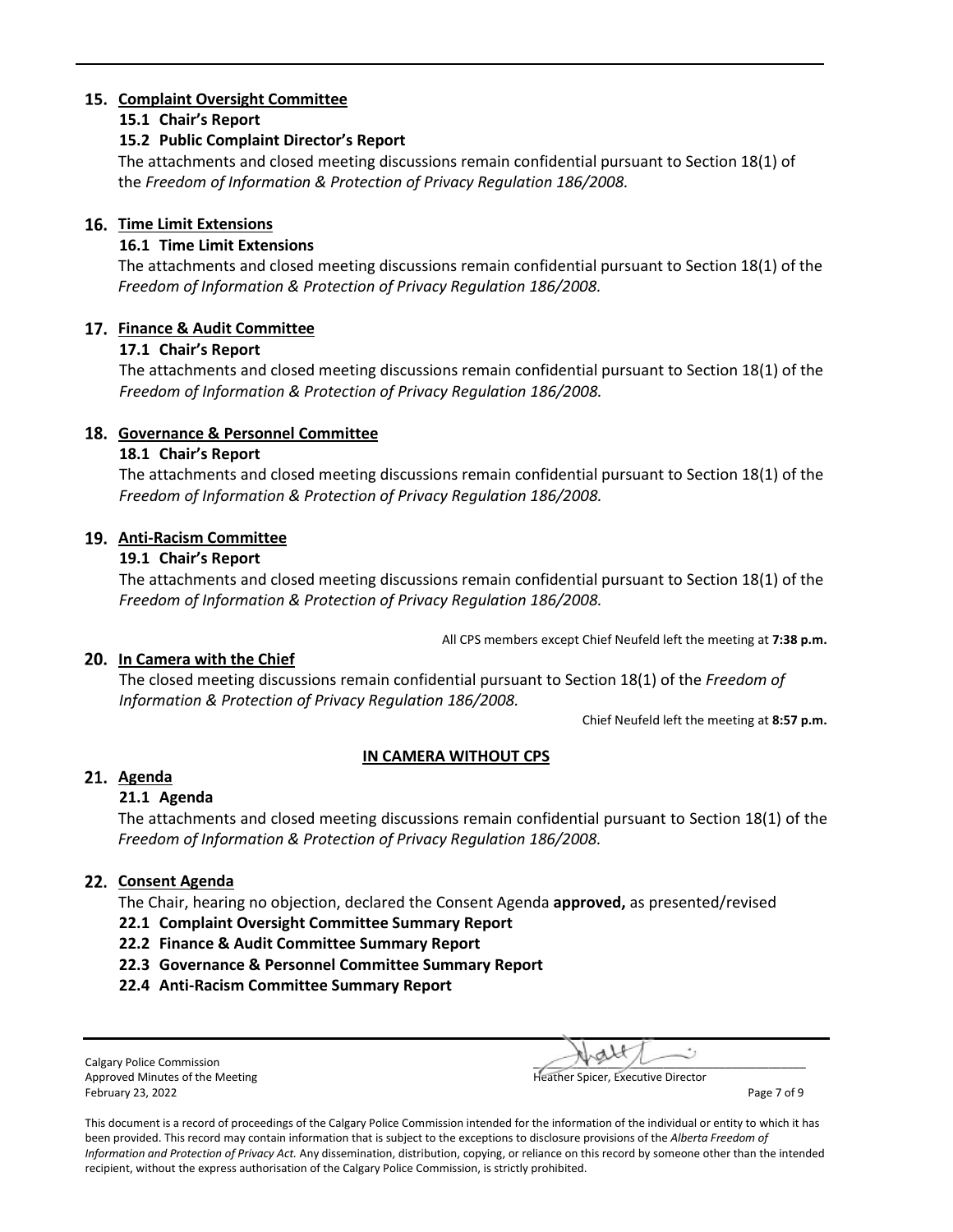# **Complaint Oversight Committee**

## **15.1 Chair's Report**

## **15.2 Public Complaint Director's Report**

The attachments and closed meeting discussions remain confidential pursuant to Section 18(1) of the *Freedom of Information & Protection of Privacy Regulation 186/2008.*

## **Time Limit Extensions**

# **16.1 Time Limit Extensions**

The attachments and closed meeting discussions remain confidential pursuant to Section 18(1) of the *Freedom of Information & Protection of Privacy Regulation 186/2008.*

# **Finance & Audit Committee**

# **17.1 Chair's Report**

The attachments and closed meeting discussions remain confidential pursuant to Section 18(1) of the *Freedom of Information & Protection of Privacy Regulation 186/2008.*

# **Governance & Personnel Committee**

# **18.1 Chair's Report**

The attachments and closed meeting discussions remain confidential pursuant to Section 18(1) of the *Freedom of Information & Protection of Privacy Regulation 186/2008.*

# **Anti-Racism Committee**

# **19.1 Chair's Report**

The attachments and closed meeting discussions remain confidential pursuant to Section 18(1) of the *Freedom of Information & Protection of Privacy Regulation 186/2008.*

All CPS members except Chief Neufeld left the meeting at **7:38 p.m.**

# **In Camera with the Chief**

The closed meeting discussions remain confidential pursuant to Section 18(1) of the *Freedom of Information & Protection of Privacy Regulation 186/2008.*

Chief Neufeld left the meeting at **8:57 p.m.** 

# **IN CAMERA WITHOUT CPS**

# **Agenda**

### **21.1 Agenda**

The attachments and closed meeting discussions remain confidential pursuant to Section 18(1) of the *Freedom of Information & Protection of Privacy Regulation 186/2008.*

# 22. Consent Agenda

The Chair, hearing no objection, declared the Consent Agenda **approved,** as presented/revised

### **22.1 Complaint Oversight Committee Summary Report**

- **22.2 Finance & Audit Committee Summary Report**
- **22.3 Governance & Personnel Committee Summary Report**
- **22.4 Anti-Racism Committee Summary Report**

Calgary Police Commission Approved Minutes of the Meeting Heather Spicer, Executive Director and Heather Spicer, Executive Director February 23, 2022 **Page 7 of 9** 

| eather Cnicer, Evenutive Director |  |
|-----------------------------------|--|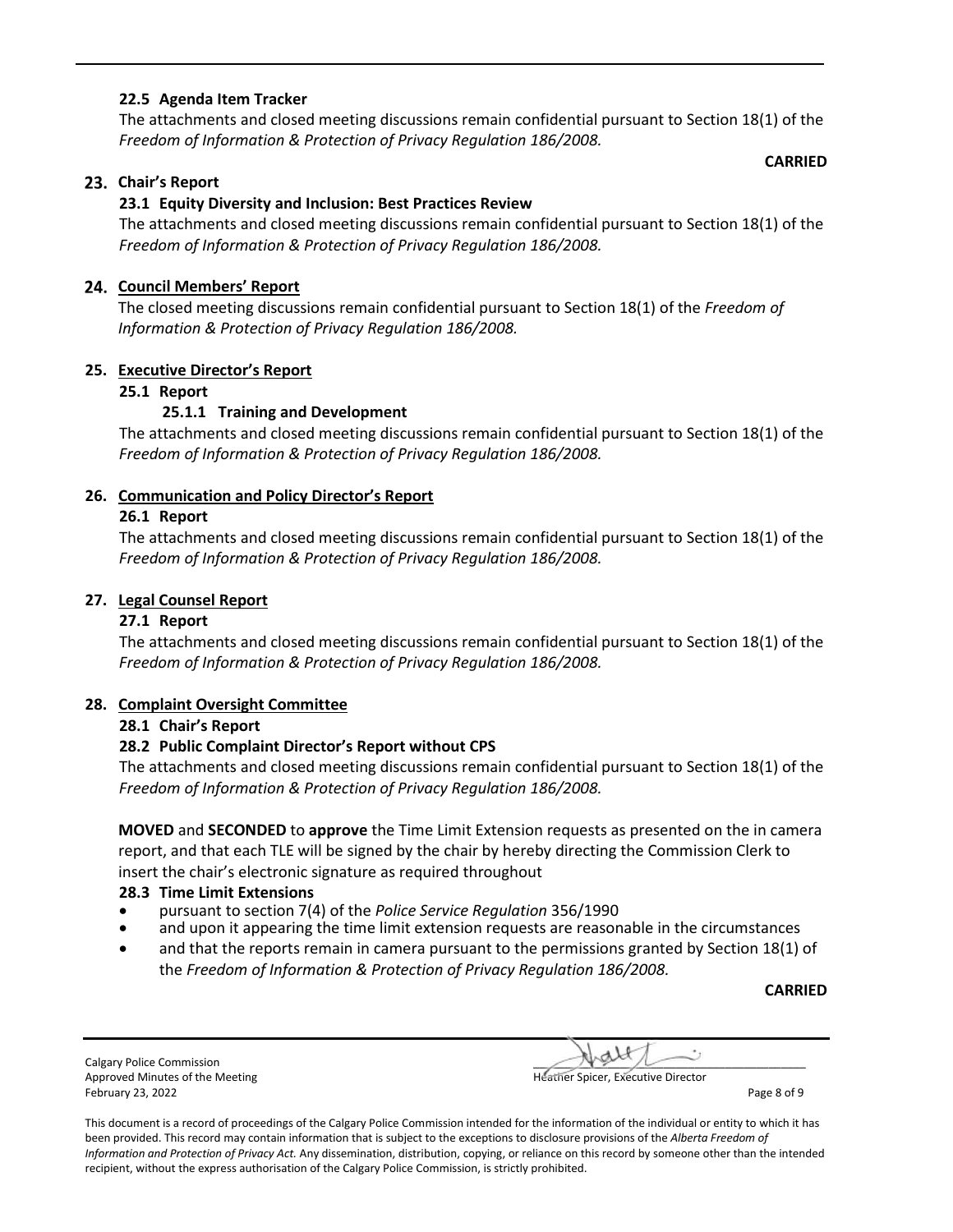## **22.5 Agenda Item Tracker**

The attachments and closed meeting discussions remain confidential pursuant to Section 18(1) of the *Freedom of Information & Protection of Privacy Regulation 186/2008.*

**CARRIED**

# **Chair's Report**

# **23.1 Equity Diversity and Inclusion: Best Practices Review**

The attachments and closed meeting discussions remain confidential pursuant to Section 18(1) of the *Freedom of Information & Protection of Privacy Regulation 186/2008.*

## **Council Members' Report**

The closed meeting discussions remain confidential pursuant to Section 18(1) of the *Freedom of Information & Protection of Privacy Regulation 186/2008.*

### **25. Executive Director's Report**

### **25.1 Report**

# **25.1.1 Training and Development**

The attachments and closed meeting discussions remain confidential pursuant to Section 18(1) of the *Freedom of Information & Protection of Privacy Regulation 186/2008.*

# **26. Communication and Policy Director's Report**

### **26.1 Report**

The attachments and closed meeting discussions remain confidential pursuant to Section 18(1) of the *Freedom of Information & Protection of Privacy Regulation 186/2008.*

### **27. Legal Counsel Report**

## **27.1 Report**

The attachments and closed meeting discussions remain confidential pursuant to Section 18(1) of the *Freedom of Information & Protection of Privacy Regulation 186/2008.*

### **28. Complaint Oversight Committee**

### **28.1 Chair's Report**

### **28.2 Public Complaint Director's Report without CPS**

The attachments and closed meeting discussions remain confidential pursuant to Section 18(1) of the *Freedom of Information & Protection of Privacy Regulation 186/2008.*

**MOVED** and **SECONDED** to **approve** the Time Limit Extension requests as presented on the in camera report, and that each TLE will be signed by the chair by hereby directing the Commission Clerk to insert the chair's electronic signature as required throughout

### **28.3 Time Limit Extensions**

- pursuant to section 7(4) of the *Police Service Regulation* 356/1990
- and upon it appearing the time limit extension requests are reasonable in the circumstances
- and that the reports remain in camera pursuant to the permissions granted by Section 18(1) of the *Freedom of Information & Protection of Privacy Regulation 186/2008.*

**CARRIED**

Calgary Police Commission Approved Minutes of the Meeting **Approved Minutes of the Meeting Heather Spicer, Executive Director** February 23, 2022 **Page 8 of 9** 

| . . |  |
|-----|--|